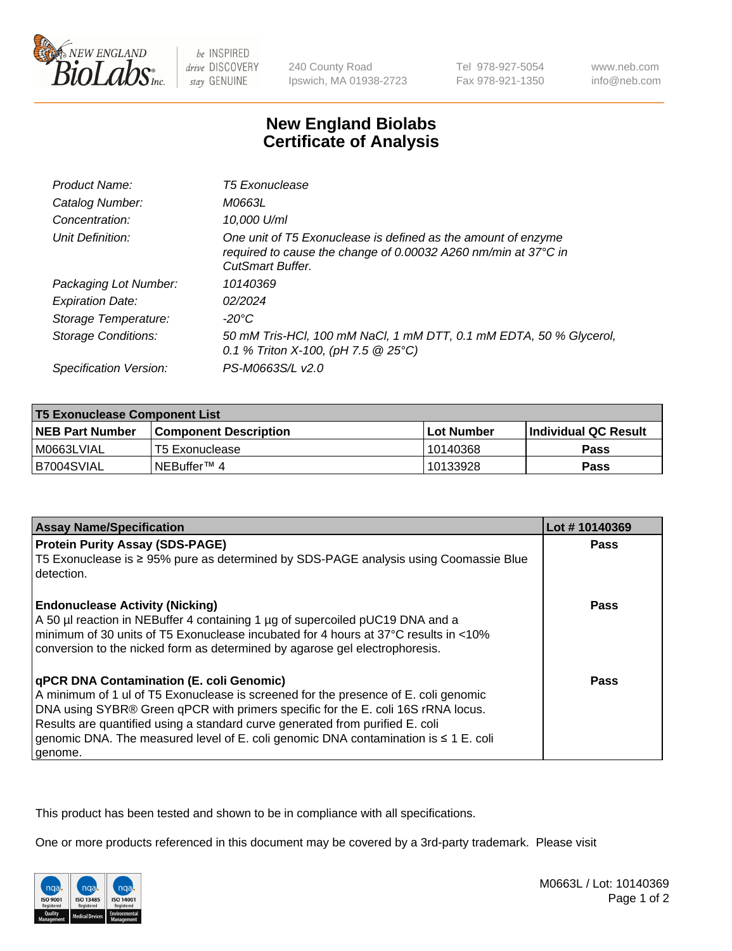

be INSPIRED drive DISCOVERY stay GENUINE

240 County Road Ipswich, MA 01938-2723 Tel 978-927-5054 Fax 978-921-1350

www.neb.com info@neb.com

## **New England Biolabs Certificate of Analysis**

| Product Name:              | <b>T5 Exonuclease</b>                                                                                                                                      |
|----------------------------|------------------------------------------------------------------------------------------------------------------------------------------------------------|
| Catalog Number:            | M0663L                                                                                                                                                     |
| Concentration:             | 10,000 U/ml                                                                                                                                                |
| Unit Definition:           | One unit of T5 Exonuclease is defined as the amount of enzyme<br>required to cause the change of 0.00032 A260 nm/min at 37°C in<br><b>CutSmart Buffer.</b> |
| Packaging Lot Number:      | 10140369                                                                                                                                                   |
| <b>Expiration Date:</b>    | 02/2024                                                                                                                                                    |
| Storage Temperature:       | $-20^{\circ}$ C                                                                                                                                            |
| <b>Storage Conditions:</b> | 50 mM Tris-HCl, 100 mM NaCl, 1 mM DTT, 0.1 mM EDTA, 50 % Glycerol,<br>0.1 % Triton X-100, (pH 7.5 $@25°C$ )                                                |
| Specification Version:     | PS-M0663S/L v2.0                                                                                                                                           |

| <b>T5 Exonuclease Component List</b> |                         |             |                             |  |
|--------------------------------------|-------------------------|-------------|-----------------------------|--|
| <b>NEB Part Number</b>               | l Component Description | ⊺Lot Number | <b>Individual QC Result</b> |  |
| I M0663LVIAL                         | T5 Exonuclease          | 10140368    | <b>Pass</b>                 |  |
| IB7004SVIAL                          | l NEBuffer™ 4∶          | 10133928    | <b>Pass</b>                 |  |

| <b>Assay Name/Specification</b>                                                                                                                                                                                                                                                                                                                                                                                    | Lot #10140369 |
|--------------------------------------------------------------------------------------------------------------------------------------------------------------------------------------------------------------------------------------------------------------------------------------------------------------------------------------------------------------------------------------------------------------------|---------------|
| <b>Protein Purity Assay (SDS-PAGE)</b>                                                                                                                                                                                                                                                                                                                                                                             | <b>Pass</b>   |
| T5 Exonuclease is ≥ 95% pure as determined by SDS-PAGE analysis using Coomassie Blue<br>l detection.                                                                                                                                                                                                                                                                                                               |               |
| <b>Endonuclease Activity (Nicking)</b><br>A 50 µl reaction in NEBuffer 4 containing 1 µg of supercoiled pUC19 DNA and a<br>I minimum of 30 units of T5 Exonuclease incubated for 4 hours at 37°C results in <10%<br>conversion to the nicked form as determined by agarose gel electrophoresis.                                                                                                                    | <b>Pass</b>   |
| <b>qPCR DNA Contamination (E. coli Genomic)</b><br>A minimum of 1 ul of T5 Exonuclease is screened for the presence of E. coli genomic<br>DNA using SYBR® Green qPCR with primers specific for the E. coli 16S rRNA locus.<br>Results are quantified using a standard curve generated from purified E. coli<br>genomic DNA. The measured level of E. coli genomic DNA contamination is $\leq 1$ E. coli<br>genome. | <b>Pass</b>   |

This product has been tested and shown to be in compliance with all specifications.

One or more products referenced in this document may be covered by a 3rd-party trademark. Please visit